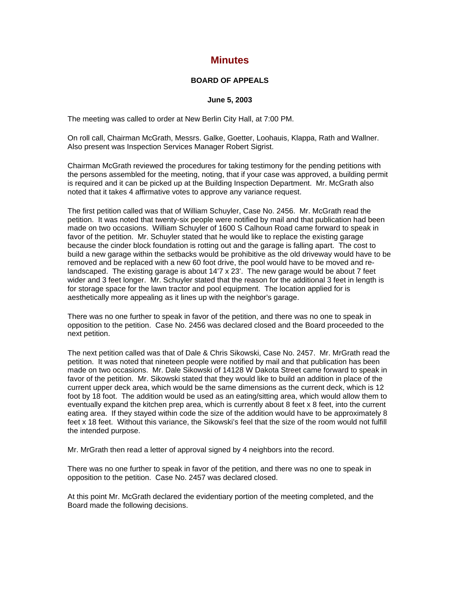## **Minutes**

## **BOARD OF APPEALS**

## **June 5, 2003**

The meeting was called to order at New Berlin City Hall, at 7:00 PM.

On roll call, Chairman McGrath, Messrs. Galke, Goetter, Loohauis, Klappa, Rath and Wallner. Also present was Inspection Services Manager Robert Sigrist.

Chairman McGrath reviewed the procedures for taking testimony for the pending petitions with the persons assembled for the meeting, noting, that if your case was approved, a building permit is required and it can be picked up at the Building Inspection Department. Mr. McGrath also noted that it takes 4 affirmative votes to approve any variance request.

The first petition called was that of William Schuyler, Case No. 2456. Mr. McGrath read the petition. It was noted that twenty-six people were notified by mail and that publication had been made on two occasions. William Schuyler of 1600 S Calhoun Road came forward to speak in favor of the petition. Mr. Schuyler stated that he would like to replace the existing garage because the cinder block foundation is rotting out and the garage is falling apart. The cost to build a new garage within the setbacks would be prohibitive as the old driveway would have to be removed and be replaced with a new 60 foot drive, the pool would have to be moved and relandscaped. The existing garage is about 14'7 x 23'. The new garage would be about 7 feet wider and 3 feet longer. Mr. Schuyler stated that the reason for the additional 3 feet in length is for storage space for the lawn tractor and pool equipment. The location applied for is aesthetically more appealing as it lines up with the neighbor's garage.

There was no one further to speak in favor of the petition, and there was no one to speak in opposition to the petition. Case No. 2456 was declared closed and the Board proceeded to the next petition.

The next petition called was that of Dale & Chris Sikowski, Case No. 2457. Mr. MrGrath read the petition. It was noted that nineteen people were notified by mail and that publication has been made on two occasions. Mr. Dale Sikowski of 14128 W Dakota Street came forward to speak in favor of the petition. Mr. Sikowski stated that they would like to build an addition in place of the current upper deck area, which would be the same dimensions as the current deck, which is 12 foot by 18 foot. The addition would be used as an eating/sitting area, which would allow them to eventually expand the kitchen prep area, which is currently about 8 feet x 8 feet, into the current eating area. If they stayed within code the size of the addition would have to be approximately 8 feet x 18 feet. Without this variance, the Sikowski's feel that the size of the room would not fulfill the intended purpose.

Mr. MrGrath then read a letter of approval signed by 4 neighbors into the record.

There was no one further to speak in favor of the petition, and there was no one to speak in opposition to the petition. Case No. 2457 was declared closed.

At this point Mr. McGrath declared the evidentiary portion of the meeting completed, and the Board made the following decisions.